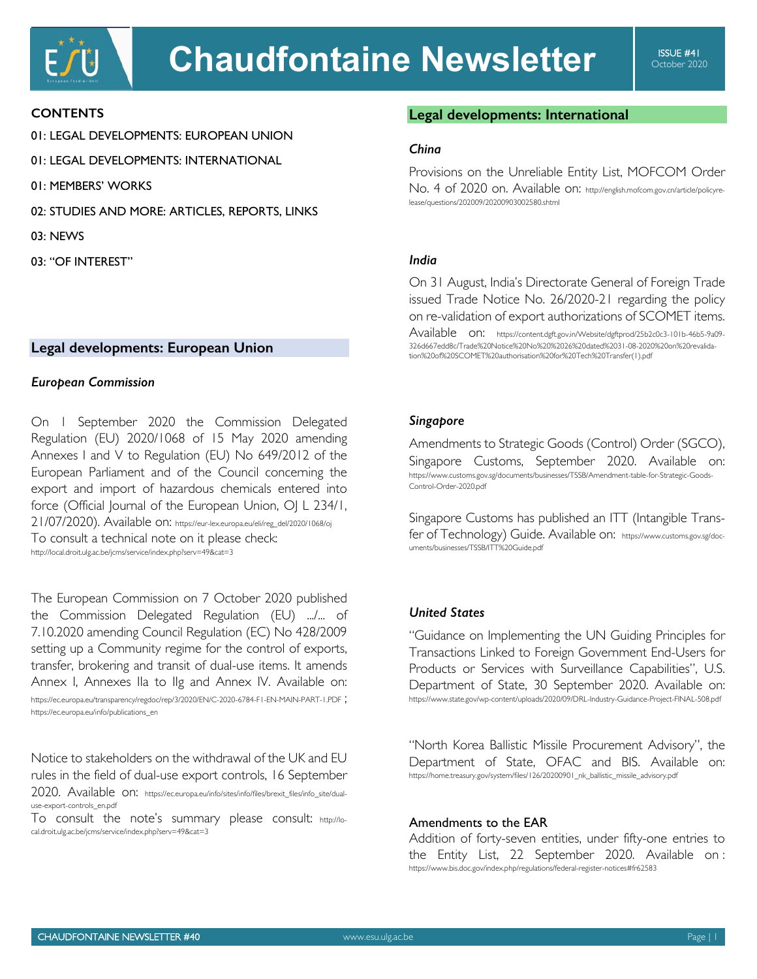## **CONTENTS**

- 01: LEGAL DEVELOPMENTS: EUROPEAN UNION
- 01: LEGAL DEVELOPMENTS: INTERNATIONAL
- 01: MEMBERS' WORKS
- 02: STUDIES AND MORE: ARTICLES, REPORTS, LINKS
- 03: NEWS
- 03: "OF INTEREST"

## **Legal developments: European Union**

#### *European Commission*

On 1 September 2020 the Commission Delegated Regulation (EU) 2020/1068 of 15 May 2020 amending Annexes I and V to Regulation (EU) No 649/2012 of the European Parliament and of the Council concerning the export and import of hazardous chemicals entered into force (Official Journal of the European Union, OJ L 234/1, 21/07/2020). Available on: https://eur-lex.europa.eu/eli/reg\_del/2020/1068/oj To consult a technical note on it please check:

http://local.droit.ulg.ac.be/jcms/service/index.php?serv=49&cat=3

The European Commission on 7 October 2020 published the Commission Delegated Regulation (EU) .../... of 7.10.2020 amending Council Regulation (EC) No 428/2009 setting up a Community regime for the control of exports, transfer, brokering and transit of dual-use items. It amends Annex I, Annexes IIa to IIg and Annex IV. Available on: https://ec.europa.eu/transparency/regdoc/rep/3/2020/EN/C-2020-6784-F1-EN-MAIN-PART-1.PDF ;

https://ec.europa.eu/info/publications\_en

Notice to stakeholders on the withdrawal of the UK and EU rules in the field of dual-use export controls, 16 September 2020. Available on: https://ec.europa.eu/info/sites/info/files/brexit\_files/info\_site/dualuse-export-controls\_en.pdf

To consult the note's summary please consult: http://local.droit.ulg.ac.be/jcms/service/index.php?serv=49&cat=3

# **Legal developments: International**

#### *China*

Provisions on the Unreliable Entity List, MOFCOM Order No. 4 of 2020 on. Available on: http://english.mofcom.gov.cn/article/policyrelease/questions/202009/20200903002580.shtml

## *India*

On 31 August, India's Directorate General of Foreign Trade issued Trade Notice No. 26/2020-21 regarding the policy on re-validation of export authorizations of SCOMET items.

Available on: https://content.dgft.gov.in/Website/dgftprod/25b2c0c3-101b-46b5-9a09-326d667edd8c/Trade%20Notice%20No%20%2026%20dated%2031-08-2020%20on%20revalidation%20of%20SCOMET%20authorisation%20for%20Tech%20Transfer(1).pdf

#### *Singapore*

Amendments to Strategic Goods (Control) Order (SGCO), Singapore Customs, September 2020. Available on: https://www.customs.gov.sg/documents/businesses/TSSB/Amendment-table-for-Strategic-Goods-Control-Order-2020.pdf

Singapore Customs has published an ITT (Intangible Transfer of Technology) Guide. Available on: https://www.customs.gov.sg/documents/businesses/TSSB/ITT%20Guide.pdf

## *United States*

"Guidance on Implementing the UN Guiding Principles for Transactions Linked to Foreign Government End-Users for Products or Services with Surveillance Capabilities", U.S. Department of State, 30 September 2020. Available on: https://www.state.gov/wp-content/uploads/2020/09/DRL-Industry-Guidance-Project-FINAL-508.pdf

"North Korea Ballistic Missile Procurement Advisory", the Department of State, OFAC and BIS. Available on: https://home.treasury.gov/system/files/126/20200901\_nk\_ballistic\_missile\_advisory.pdf

## Amendments to the EAR

Addition of forty-seven entities, under fifty-one entries to the Entity List, 22 September 2020. Available on : https://www.bis.doc.gov/index.php/regulations/federal-register-notices#fr62583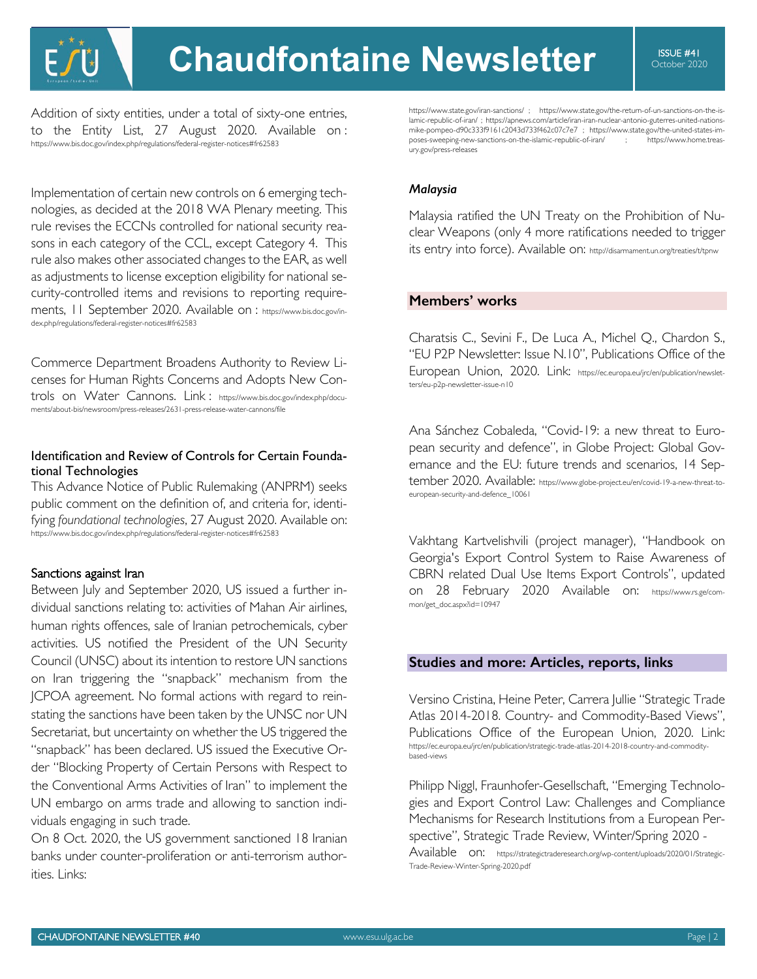**Chaudfontaine Newsletter** I SSUE #41

Addition of sixty entities, under a total of sixty-one entries, to the Entity List, 27 August 2020. Available on : https://www.bis.doc.gov/index.php/regulations/federal-register-notices#fr62583

Implementation of certain new controls on 6 emerging technologies, as decided at the 2018 WA Plenary meeting. This rule revises the ECCNs controlled for national security reasons in each category of the CCL, except Category 4. This rule also makes other associated changes to the EAR, as well as adjustments to license exception eligibility for national security-controlled items and revisions to reporting requirements, II September 2020. Available on : https://www.bis.doc.gov/index.php/regulations/federal-register-notices#fr62583

Commerce Department Broadens Authority to Review Licenses for Human Rights Concerns and Adopts New Controls on Water Cannons. Link : https://www.bis.doc.gov/index.php/documents/about-bis/newsroom/press-releases/2631-press-release-water-cannons/file

## Identification and Review of Controls for Certain Foundational Technologies

This Advance Notice of Public Rulemaking (ANPRM) seeks public comment on the definition of, and criteria for, identifying *foundational technologies*, 27 August 2020. Available on: https://www.bis.doc.gov/index.php/regulations/federal-register-notices#fr62583

#### Sanctions against Iran

Between July and September 2020, US issued a further individual sanctions relating to: activities of Mahan Air airlines, human rights offences, sale of Iranian petrochemicals, cyber activities. US notified the President of the UN Security Council (UNSC) about its intention to restore UN sanctions on Iran triggering the "snapback" mechanism from the JCPOA agreement. No formal actions with regard to reinstating the sanctions have been taken by the UNSC nor UN Secretariat, but uncertainty on whether the US triggered the "snapback" has been declared. US issued the Executive Order "Blocking Property of Certain Persons with Respect to the Conventional Arms Activities of Iran" to implement the UN embargo on arms trade and allowing to sanction individuals engaging in such trade.

On 8 Oct. 2020, the US government sanctioned 18 Iranian banks under counter-proliferation or anti-terrorism authorities. Links:

https://www.state.gov/iran-sanctions/ ; https://www.state.gov/the-return-of-un-sanctions-on-the-islamic-republic-of-iran/ ; https://apnews.com/article/iran-iran-nuclear-antonio-guterres-united-nationsmike-pompeo-d90c333f9161c2043d733f462c07c7e7 ; https://www.state.gov/the-united-states-imposes-sweeping-new-sanctions-on-the-islamic-republic-of-iran/ ; https://www.home.treasury.gov/press-releases

#### *Malaysia*

Malaysia ratified the UN Treaty on the Prohibition of Nuclear Weapons (only 4 more ratifications needed to trigger its entry into force). Available on: http://disarmament.un.org/treaties/t/tpnw

#### **Members' works**

Charatsis C., Sevini F., De Luca A., Michel Q., Chardon S., "EU P2P Newsletter: Issue N.10", Publications Office of the European Union, 2020. Link: https://ec.europa.eu/jrc/en/publication/newsletters/eu-p2p-newsletter-issue-n10

Ana Sánchez Cobaleda, "Covid-19: a new threat to European security and defence", in Globe Project: Global Governance and the EU: future trends and scenarios, 14 September 2020. Available: https://www.globe-project.eu/en/covid-19-a-new-threat-toeuropean-security-and-defence\_10061

Vakhtang Kartvelishvili (project manager), "Handbook on Georgia's Export Control System to Raise Awareness of CBRN related Dual Use Items Export Controls", updated on 28 February 2020 Available on: https://www.rs.ge/common/get\_doc.aspx?id=10947

#### **Studies and more: Articles, reports, links**

Versino Cristina, Heine Peter, Carrera Jullie "Strategic Trade Atlas 2014-2018. Country- and Commodity-Based Views", Publications Office of the European Union, 2020. Link: https://ec.europa.eu/jrc/en/publication/strategic-trade-atlas-2014-2018-country-and-commoditybased-views

Philipp Niggl, Fraunhofer-Gesellschaft, "Emerging Technologies and Export Control Law: Challenges and Compliance Mechanisms for Research Institutions from a European Perspective", Strategic Trade Review, Winter/Spring 2020 - Available on: https://strategictraderesearch.org/wp-content/uploads/2020/01/Strategic-Trade-Review-Winter-Spring-2020.pdf